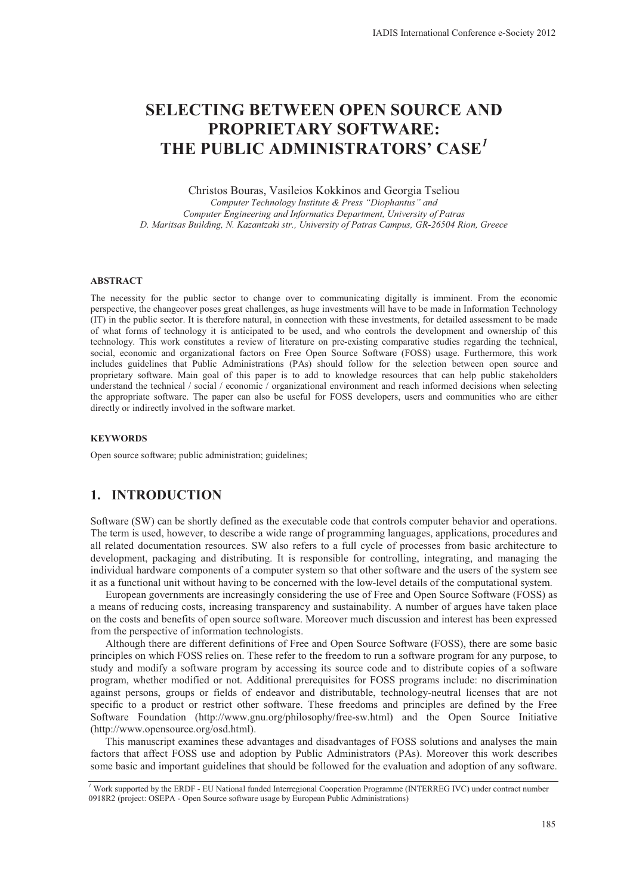# **SELECTING BETWEEN OPEN SOURCE AND PROPRIETARY SOFTWARE: THE PUBLIC ADMINISTRATORS' CASE***<sup>1</sup>*

Christos Bouras, Vasileios Kokkinos and Georgia Tseliou

*Computer Technology Institute & Press "Diophantus" and Computer Engineering and Informatics Department, University of Patras D. Maritsas Building, N. Kazantzaki str., University of Patras Campus, GR-26504 Rion, Greece* 

#### **ABSTRACT**

The necessity for the public sector to change over to communicating digitally is imminent. From the economic perspective, the changeover poses great challenges, as huge investments will have to be made in Information Technology (IT) in the public sector. It is therefore natural, in connection with these investments, for detailed assessment to be made of what forms of technology it is anticipated to be used, and who controls the development and ownership of this technology. This work constitutes a review of literature on pre-existing comparative studies regarding the technical, social, economic and organizational factors on Free Open Source Software (FOSS) usage. Furthermore, this work includes guidelines that Public Administrations (PAs) should follow for the selection between open source and proprietary software. Main goal of this paper is to add to knowledge resources that can help public stakeholders understand the technical / social / economic / organizational environment and reach informed decisions when selecting the appropriate software. The paper can also be useful for FOSS developers, users and communities who are either directly or indirectly involved in the software market.

#### **KEYWORDS**

Open source software; public administration; guidelines;

## **1. INTRODUCTION**

Software (SW) can be shortly defined as the executable code that controls computer behavior and operations. The term is used, however, to describe a wide range of programming languages, applications, procedures and all related documentation resources. SW also refers to a full cycle of processes from basic architecture to development, packaging and distributing. It is responsible for controlling, integrating, and managing the individual hardware components of a computer system so that other software and the users of the system see it as a functional unit without having to be concerned with the low-level details of the computational system.

European governments are increasingly considering the use of Free and Open Source Software (FOSS) as a means of reducing costs, increasing transparency and sustainability. A number of argues have taken place on the costs and benefits of open source software. Moreover much discussion and interest has been expressed from the perspective of information technologists.

Although there are different definitions of Free and Open Source Software (FOSS), there are some basic principles on which FOSS relies on. These refer to the freedom to run a software program for any purpose, to study and modify a software program by accessing its source code and to distribute copies of a software program, whether modified or not. Additional prerequisites for FOSS programs include: no discrimination against persons, groups or fields of endeavor and distributable, technology-neutral licenses that are not specific to a product or restrict other software. These freedoms and principles are defined by the Free Software Foundation (http://www.gnu.org/philosophy/free-sw.html) and the Open Source Initiative (http://www.opensource.org/osd.html).

This manuscript examines these advantages and disadvantages of FOSS solutions and analyses the main factors that affect FOSS use and adoption by Public Administrators (PAs). Moreover this work describes some basic and important guidelines that should be followed for the evaluation and adoption of any software.

<sup>&</sup>lt;sup>1</sup> Work supported by the ERDF - EU National funded Interregional Cooperation Programme (INTERREG IVC) under contract number 0918R2 (project: OSEPA - Open Source software usage by European Public Administrations)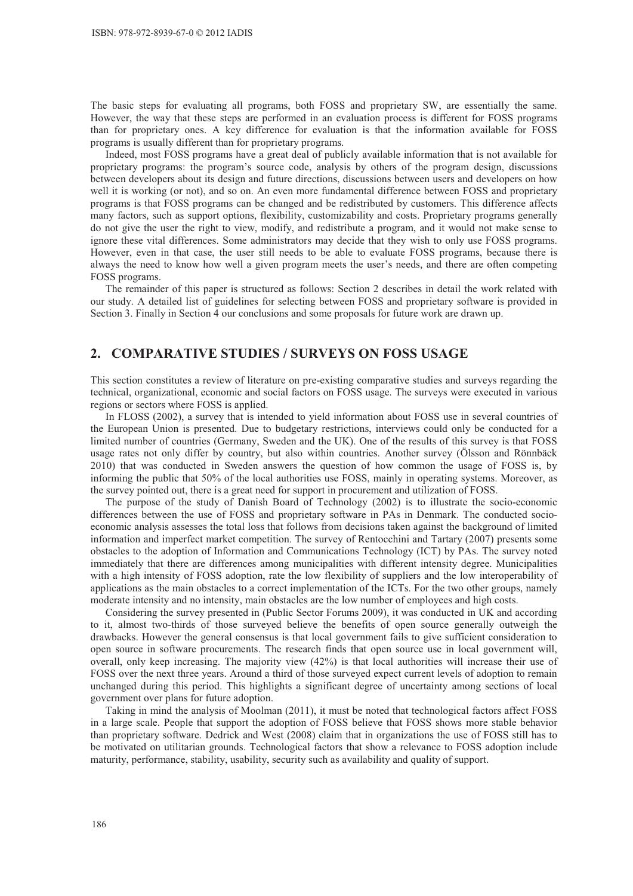The basic steps for evaluating all programs, both FOSS and proprietary SW, are essentially the same. However, the way that these steps are performed in an evaluation process is different for FOSS programs than for proprietary ones. A key difference for evaluation is that the information available for FOSS programs is usually different than for proprietary programs.

Indeed, most FOSS programs have a great deal of publicly available information that is not available for proprietary programs: the program's source code, analysis by others of the program design, discussions between developers about its design and future directions, discussions between users and developers on how well it is working (or not), and so on. An even more fundamental difference between FOSS and proprietary programs is that FOSS programs can be changed and be redistributed by customers. This difference affects many factors, such as support options, flexibility, customizability and costs. Proprietary programs generally do not give the user the right to view, modify, and redistribute a program, and it would not make sense to ignore these vital differences. Some administrators may decide that they wish to only use FOSS programs. However, even in that case, the user still needs to be able to evaluate FOSS programs, because there is always the need to know how well a given program meets the user's needs, and there are often competing FOSS programs.

The remainder of this paper is structured as follows: Section 2 describes in detail the work related with our study. A detailed list of guidelines for selecting between FOSS and proprietary software is provided in Section 3. Finally in Section 4 our conclusions and some proposals for future work are drawn up.

## **2. COMPARATIVE STUDIES / SURVEYS ON FOSS USAGE**

This section constitutes a review of literature on pre-existing comparative studies and surveys regarding the technical, organizational, economic and social factors on FOSS usage. The surveys were executed in various regions or sectors where FOSS is applied.

In FLOSS (2002), a survey that is intended to yield information about FOSS use in several countries of the European Union is presented. Due to budgetary restrictions, interviews could only be conducted for a limited number of countries (Germany, Sweden and the UK). One of the results of this survey is that FOSS usage rates not only differ by country, but also within countries. Another survey (Ölsson and Rönnbäck 2010) that was conducted in Sweden answers the question of how common the usage of FOSS is, by informing the public that 50% of the local authorities use FOSS, mainly in operating systems. Moreover, as the survey pointed out, there is a great need for support in procurement and utilization of FOSS.

The purpose of the study of Danish Board of Technology (2002) is to illustrate the socio-economic differences between the use of FOSS and proprietary software in PAs in Denmark. The conducted socioeconomic analysis assesses the total loss that follows from decisions taken against the background of limited information and imperfect market competition. The survey of Rentocchini and Tartary (2007) presents some obstacles to the adoption of Information and Communications Technology (ICT) by PAs. The survey noted immediately that there are differences among municipalities with different intensity degree. Municipalities with a high intensity of FOSS adoption, rate the low flexibility of suppliers and the low interoperability of applications as the main obstacles to a correct implementation of the ICTs. For the two other groups, namely moderate intensity and no intensity, main obstacles are the low number of employees and high costs.

Considering the survey presented in (Public Sector Forums 2009), it was conducted in UK and according to it, almost two-thirds of those surveyed believe the benefits of open source generally outweigh the drawbacks. However the general consensus is that local government fails to give sufficient consideration to open source in software procurements. The research finds that open source use in local government will, overall, only keep increasing. The majority view (42%) is that local authorities will increase their use of FOSS over the next three years. Around a third of those surveyed expect current levels of adoption to remain unchanged during this period. This highlights a significant degree of uncertainty among sections of local government over plans for future adoption.

Taking in mind the analysis of Moolman (2011), it must be noted that technological factors affect FOSS in a large scale. People that support the adoption of FOSS believe that FOSS shows more stable behavior than proprietary software. Dedrick and West (2008) claim that in organizations the use of FOSS still has to be motivated on utilitarian grounds. Technological factors that show a relevance to FOSS adoption include maturity, performance, stability, usability, security such as availability and quality of support.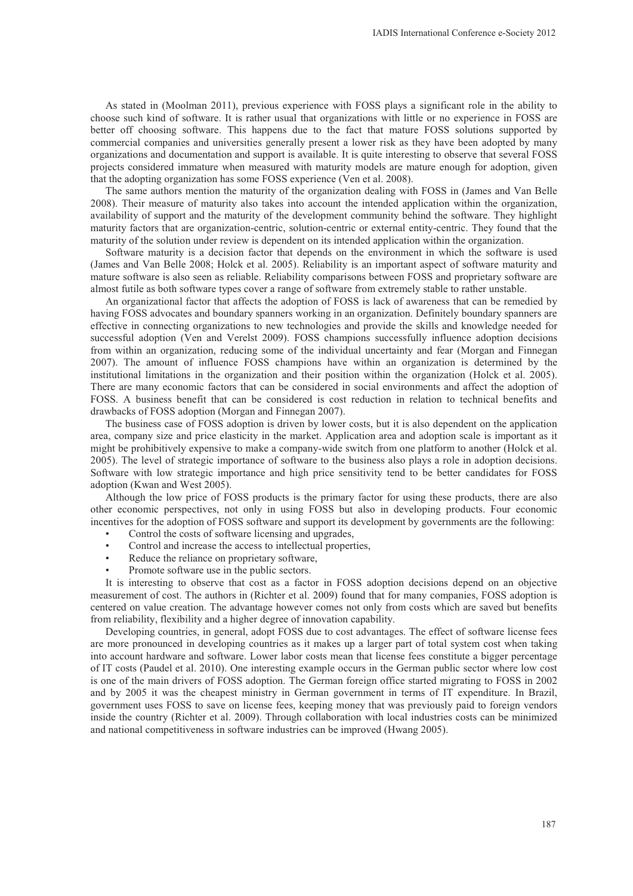As stated in (Moolman 2011), previous experience with FOSS plays a significant role in the ability to choose such kind of software. It is rather usual that organizations with little or no experience in FOSS are better off choosing software. This happens due to the fact that mature FOSS solutions supported by commercial companies and universities generally present a lower risk as they have been adopted by many organizations and documentation and support is available. It is quite interesting to observe that several FOSS projects considered immature when measured with maturity models are mature enough for adoption, given that the adopting organization has some FOSS experience (Ven et al. 2008).

The same authors mention the maturity of the organization dealing with FOSS in (James and Van Belle 2008). Their measure of maturity also takes into account the intended application within the organization, availability of support and the maturity of the development community behind the software. They highlight maturity factors that are organization-centric, solution-centric or external entity-centric. They found that the maturity of the solution under review is dependent on its intended application within the organization.

Software maturity is a decision factor that depends on the environment in which the software is used (James and Van Belle 2008; Holck et al. 2005). Reliability is an important aspect of software maturity and mature software is also seen as reliable. Reliability comparisons between FOSS and proprietary software are almost futile as both software types cover a range of software from extremely stable to rather unstable.

An organizational factor that affects the adoption of FOSS is lack of awareness that can be remedied by having FOSS advocates and boundary spanners working in an organization. Definitely boundary spanners are effective in connecting organizations to new technologies and provide the skills and knowledge needed for successful adoption (Ven and Verelst 2009). FOSS champions successfully influence adoption decisions from within an organization, reducing some of the individual uncertainty and fear (Morgan and Finnegan 2007). The amount of influence FOSS champions have within an organization is determined by the institutional limitations in the organization and their position within the organization (Holck et al. 2005). There are many economic factors that can be considered in social environments and affect the adoption of FOSS. A business benefit that can be considered is cost reduction in relation to technical benefits and drawbacks of FOSS adoption (Morgan and Finnegan 2007).

The business case of FOSS adoption is driven by lower costs, but it is also dependent on the application area, company size and price elasticity in the market. Application area and adoption scale is important as it might be prohibitively expensive to make a company-wide switch from one platform to another (Holck et al. 2005). The level of strategic importance of software to the business also plays a role in adoption decisions. Software with low strategic importance and high price sensitivity tend to be better candidates for FOSS adoption (Kwan and West 2005).

Although the low price of FOSS products is the primary factor for using these products, there are also other economic perspectives, not only in using FOSS but also in developing products. Four economic incentives for the adoption of FOSS software and support its development by governments are the following:

- Control the costs of software licensing and upgrades,
- Control and increase the access to intellectual properties,
- Reduce the reliance on proprietary software,
- Promote software use in the public sectors.

It is interesting to observe that cost as a factor in FOSS adoption decisions depend on an objective measurement of cost. The authors in (Richter et al. 2009) found that for many companies, FOSS adoption is centered on value creation. The advantage however comes not only from costs which are saved but benefits from reliability, flexibility and a higher degree of innovation capability.

Developing countries, in general, adopt FOSS due to cost advantages. The effect of software license fees are more pronounced in developing countries as it makes up a larger part of total system cost when taking into account hardware and software. Lower labor costs mean that license fees constitute a bigger percentage of IT costs (Paudel et al. 2010). One interesting example occurs in the German public sector where low cost is one of the main drivers of FOSS adoption. The German foreign office started migrating to FOSS in 2002 and by 2005 it was the cheapest ministry in German government in terms of IT expenditure. In Brazil, government uses FOSS to save on license fees, keeping money that was previously paid to foreign vendors inside the country (Richter et al. 2009). Through collaboration with local industries costs can be minimized and national competitiveness in software industries can be improved (Hwang 2005).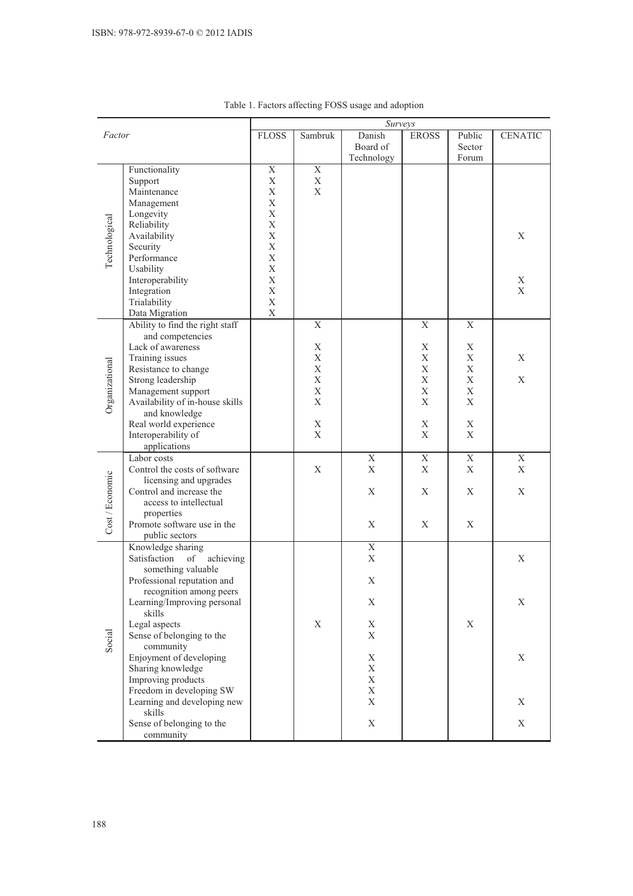| Danish<br>Public<br>Factor<br>Sambruk<br><b>CENATIC</b><br><b>FLOSS</b><br><b>EROSS</b><br>Board of<br>Sector<br>Technology<br>Forum<br>Functionality<br>$\overline{X}$<br>$\mathbf X$<br>X<br>Support<br>X<br>X<br>X<br>Maintenance<br>X<br>Management<br>X<br>Longevity<br>Technological<br>Reliability<br>$\mathbf X$<br>$\mathbf X$<br>Availability<br>X<br>$\mathbf X$<br>Security<br>Performance<br>X<br>$\mathbf X$<br>Usability<br>$\mathbf X$<br>Interoperability<br>X<br>Integration<br>X<br>X<br>Trialability<br>X<br>Data Migration<br>X<br>Ability to find the right staff<br>$\mathbf X$<br>X<br>X<br>and competencies<br>Lack of awareness<br>X<br>X<br>X<br>X<br>$\mathbf X$<br>Training issues<br>X<br>X<br>Organizational<br>Resistance to change<br>X<br>$\mathbf X$<br>$\mathbf X$<br>X<br>X<br>Strong leadership<br>X<br>X<br>Management support<br>X<br>X<br>X<br>Availability of in-house skills<br>X<br>X<br>Χ<br>and knowledge<br>Real world experience<br>X<br>X<br>Χ<br>$\mathbf X$<br>X<br>Interoperability of<br>X<br>applications<br>$\mathbf X$<br>Labor costs<br>$\mathbf X$<br>X<br>X |
|------------------------------------------------------------------------------------------------------------------------------------------------------------------------------------------------------------------------------------------------------------------------------------------------------------------------------------------------------------------------------------------------------------------------------------------------------------------------------------------------------------------------------------------------------------------------------------------------------------------------------------------------------------------------------------------------------------------------------------------------------------------------------------------------------------------------------------------------------------------------------------------------------------------------------------------------------------------------------------------------------------------------------------------------------------------------------------------------------------------------|
|                                                                                                                                                                                                                                                                                                                                                                                                                                                                                                                                                                                                                                                                                                                                                                                                                                                                                                                                                                                                                                                                                                                        |
|                                                                                                                                                                                                                                                                                                                                                                                                                                                                                                                                                                                                                                                                                                                                                                                                                                                                                                                                                                                                                                                                                                                        |
|                                                                                                                                                                                                                                                                                                                                                                                                                                                                                                                                                                                                                                                                                                                                                                                                                                                                                                                                                                                                                                                                                                                        |
|                                                                                                                                                                                                                                                                                                                                                                                                                                                                                                                                                                                                                                                                                                                                                                                                                                                                                                                                                                                                                                                                                                                        |
|                                                                                                                                                                                                                                                                                                                                                                                                                                                                                                                                                                                                                                                                                                                                                                                                                                                                                                                                                                                                                                                                                                                        |
|                                                                                                                                                                                                                                                                                                                                                                                                                                                                                                                                                                                                                                                                                                                                                                                                                                                                                                                                                                                                                                                                                                                        |
|                                                                                                                                                                                                                                                                                                                                                                                                                                                                                                                                                                                                                                                                                                                                                                                                                                                                                                                                                                                                                                                                                                                        |
|                                                                                                                                                                                                                                                                                                                                                                                                                                                                                                                                                                                                                                                                                                                                                                                                                                                                                                                                                                                                                                                                                                                        |
|                                                                                                                                                                                                                                                                                                                                                                                                                                                                                                                                                                                                                                                                                                                                                                                                                                                                                                                                                                                                                                                                                                                        |
|                                                                                                                                                                                                                                                                                                                                                                                                                                                                                                                                                                                                                                                                                                                                                                                                                                                                                                                                                                                                                                                                                                                        |
|                                                                                                                                                                                                                                                                                                                                                                                                                                                                                                                                                                                                                                                                                                                                                                                                                                                                                                                                                                                                                                                                                                                        |
|                                                                                                                                                                                                                                                                                                                                                                                                                                                                                                                                                                                                                                                                                                                                                                                                                                                                                                                                                                                                                                                                                                                        |
|                                                                                                                                                                                                                                                                                                                                                                                                                                                                                                                                                                                                                                                                                                                                                                                                                                                                                                                                                                                                                                                                                                                        |
|                                                                                                                                                                                                                                                                                                                                                                                                                                                                                                                                                                                                                                                                                                                                                                                                                                                                                                                                                                                                                                                                                                                        |
|                                                                                                                                                                                                                                                                                                                                                                                                                                                                                                                                                                                                                                                                                                                                                                                                                                                                                                                                                                                                                                                                                                                        |
|                                                                                                                                                                                                                                                                                                                                                                                                                                                                                                                                                                                                                                                                                                                                                                                                                                                                                                                                                                                                                                                                                                                        |
|                                                                                                                                                                                                                                                                                                                                                                                                                                                                                                                                                                                                                                                                                                                                                                                                                                                                                                                                                                                                                                                                                                                        |
|                                                                                                                                                                                                                                                                                                                                                                                                                                                                                                                                                                                                                                                                                                                                                                                                                                                                                                                                                                                                                                                                                                                        |
|                                                                                                                                                                                                                                                                                                                                                                                                                                                                                                                                                                                                                                                                                                                                                                                                                                                                                                                                                                                                                                                                                                                        |
|                                                                                                                                                                                                                                                                                                                                                                                                                                                                                                                                                                                                                                                                                                                                                                                                                                                                                                                                                                                                                                                                                                                        |
|                                                                                                                                                                                                                                                                                                                                                                                                                                                                                                                                                                                                                                                                                                                                                                                                                                                                                                                                                                                                                                                                                                                        |
|                                                                                                                                                                                                                                                                                                                                                                                                                                                                                                                                                                                                                                                                                                                                                                                                                                                                                                                                                                                                                                                                                                                        |
|                                                                                                                                                                                                                                                                                                                                                                                                                                                                                                                                                                                                                                                                                                                                                                                                                                                                                                                                                                                                                                                                                                                        |
|                                                                                                                                                                                                                                                                                                                                                                                                                                                                                                                                                                                                                                                                                                                                                                                                                                                                                                                                                                                                                                                                                                                        |
|                                                                                                                                                                                                                                                                                                                                                                                                                                                                                                                                                                                                                                                                                                                                                                                                                                                                                                                                                                                                                                                                                                                        |
|                                                                                                                                                                                                                                                                                                                                                                                                                                                                                                                                                                                                                                                                                                                                                                                                                                                                                                                                                                                                                                                                                                                        |
|                                                                                                                                                                                                                                                                                                                                                                                                                                                                                                                                                                                                                                                                                                                                                                                                                                                                                                                                                                                                                                                                                                                        |
|                                                                                                                                                                                                                                                                                                                                                                                                                                                                                                                                                                                                                                                                                                                                                                                                                                                                                                                                                                                                                                                                                                                        |
|                                                                                                                                                                                                                                                                                                                                                                                                                                                                                                                                                                                                                                                                                                                                                                                                                                                                                                                                                                                                                                                                                                                        |
| X<br>X<br>Control the costs of software<br>X<br>X<br>X                                                                                                                                                                                                                                                                                                                                                                                                                                                                                                                                                                                                                                                                                                                                                                                                                                                                                                                                                                                                                                                                 |
| licensing and upgrades                                                                                                                                                                                                                                                                                                                                                                                                                                                                                                                                                                                                                                                                                                                                                                                                                                                                                                                                                                                                                                                                                                 |
| Cost / Economic<br>Control and increase the<br>X<br>Χ<br>X<br>Χ                                                                                                                                                                                                                                                                                                                                                                                                                                                                                                                                                                                                                                                                                                                                                                                                                                                                                                                                                                                                                                                        |
| access to intellectual                                                                                                                                                                                                                                                                                                                                                                                                                                                                                                                                                                                                                                                                                                                                                                                                                                                                                                                                                                                                                                                                                                 |
| properties                                                                                                                                                                                                                                                                                                                                                                                                                                                                                                                                                                                                                                                                                                                                                                                                                                                                                                                                                                                                                                                                                                             |
| Promote software use in the<br>X<br>X<br>X                                                                                                                                                                                                                                                                                                                                                                                                                                                                                                                                                                                                                                                                                                                                                                                                                                                                                                                                                                                                                                                                             |
| public sectors                                                                                                                                                                                                                                                                                                                                                                                                                                                                                                                                                                                                                                                                                                                                                                                                                                                                                                                                                                                                                                                                                                         |
| $\overline{X}$<br>Knowledge sharing                                                                                                                                                                                                                                                                                                                                                                                                                                                                                                                                                                                                                                                                                                                                                                                                                                                                                                                                                                                                                                                                                    |
| Satisfaction of<br>X<br>achieving<br>X                                                                                                                                                                                                                                                                                                                                                                                                                                                                                                                                                                                                                                                                                                                                                                                                                                                                                                                                                                                                                                                                                 |
| something valuable                                                                                                                                                                                                                                                                                                                                                                                                                                                                                                                                                                                                                                                                                                                                                                                                                                                                                                                                                                                                                                                                                                     |
| Professional reputation and<br>X                                                                                                                                                                                                                                                                                                                                                                                                                                                                                                                                                                                                                                                                                                                                                                                                                                                                                                                                                                                                                                                                                       |
| recognition among peers                                                                                                                                                                                                                                                                                                                                                                                                                                                                                                                                                                                                                                                                                                                                                                                                                                                                                                                                                                                                                                                                                                |
| Learning/Improving personal<br>Χ<br>X                                                                                                                                                                                                                                                                                                                                                                                                                                                                                                                                                                                                                                                                                                                                                                                                                                                                                                                                                                                                                                                                                  |
| skills                                                                                                                                                                                                                                                                                                                                                                                                                                                                                                                                                                                                                                                                                                                                                                                                                                                                                                                                                                                                                                                                                                                 |
| Legal aspects<br>$\mathbf X$<br>Χ<br>X                                                                                                                                                                                                                                                                                                                                                                                                                                                                                                                                                                                                                                                                                                                                                                                                                                                                                                                                                                                                                                                                                 |
| Social<br>Sense of belonging to the<br>X                                                                                                                                                                                                                                                                                                                                                                                                                                                                                                                                                                                                                                                                                                                                                                                                                                                                                                                                                                                                                                                                               |
| community                                                                                                                                                                                                                                                                                                                                                                                                                                                                                                                                                                                                                                                                                                                                                                                                                                                                                                                                                                                                                                                                                                              |
| Enjoyment of developing<br>X<br>X                                                                                                                                                                                                                                                                                                                                                                                                                                                                                                                                                                                                                                                                                                                                                                                                                                                                                                                                                                                                                                                                                      |
| Sharing knowledge<br>X                                                                                                                                                                                                                                                                                                                                                                                                                                                                                                                                                                                                                                                                                                                                                                                                                                                                                                                                                                                                                                                                                                 |
| Improving products<br>X                                                                                                                                                                                                                                                                                                                                                                                                                                                                                                                                                                                                                                                                                                                                                                                                                                                                                                                                                                                                                                                                                                |
| Freedom in developing SW<br>X<br>X<br>X                                                                                                                                                                                                                                                                                                                                                                                                                                                                                                                                                                                                                                                                                                                                                                                                                                                                                                                                                                                                                                                                                |
| Learning and developing new<br>skills                                                                                                                                                                                                                                                                                                                                                                                                                                                                                                                                                                                                                                                                                                                                                                                                                                                                                                                                                                                                                                                                                  |
| Sense of belonging to the<br>X<br>$\mathbf X$                                                                                                                                                                                                                                                                                                                                                                                                                                                                                                                                                                                                                                                                                                                                                                                                                                                                                                                                                                                                                                                                          |
| community                                                                                                                                                                                                                                                                                                                                                                                                                                                                                                                                                                                                                                                                                                                                                                                                                                                                                                                                                                                                                                                                                                              |

## Table 1. Factors affecting FOSS usage and adoption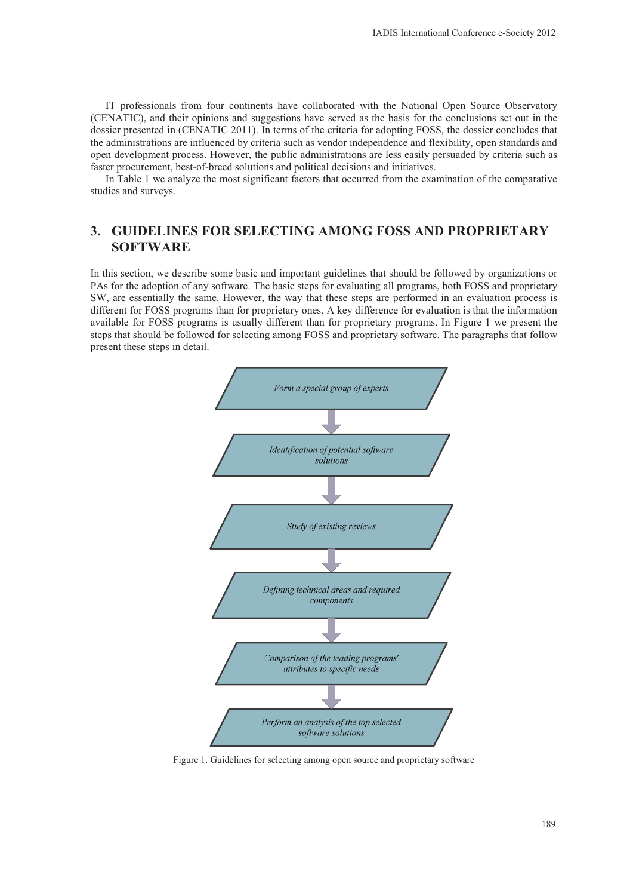IT professionals from four continents have collaborated with the National Open Source Observatory (CENATIC), and their opinions and suggestions have served as the basis for the conclusions set out in the dossier presented in (CENATIC 2011). In terms of the criteria for adopting FOSS, the dossier concludes that the administrations are influenced by criteria such as vendor independence and flexibility, open standards and open development process. However, the public administrations are less easily persuaded by criteria such as faster procurement, best-of-breed solutions and political decisions and initiatives.

In Table 1 we analyze the most significant factors that occurred from the examination of the comparative studies and surveys.

# **3. GUIDELINES FOR SELECTING AMONG FOSS AND PROPRIETARY SOFTWARE**

In this section, we describe some basic and important guidelines that should be followed by organizations or PAs for the adoption of any software. The basic steps for evaluating all programs, both FOSS and proprietary SW, are essentially the same. However, the way that these steps are performed in an evaluation process is different for FOSS programs than for proprietary ones. A key difference for evaluation is that the information available for FOSS programs is usually different than for proprietary programs. In Figure 1 we present the steps that should be followed for selecting among FOSS and proprietary software. The paragraphs that follow present these steps in detail.



Figure 1. Guidelines for selecting among open source and proprietary software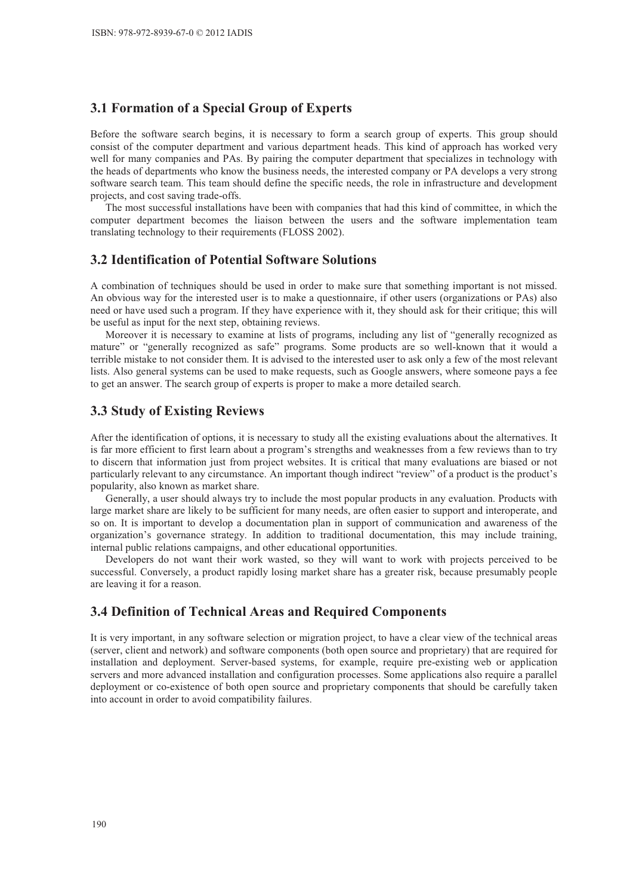## **3.1 Formation of a Special Group of Experts**

Before the software search begins, it is necessary to form a search group of experts. This group should consist of the computer department and various department heads. This kind of approach has worked very well for many companies and PAs. By pairing the computer department that specializes in technology with the heads of departments who know the business needs, the interested company or PA develops a very strong software search team. This team should define the specific needs, the role in infrastructure and development projects, and cost saving trade-offs.

The most successful installations have been with companies that had this kind of committee, in which the computer department becomes the liaison between the users and the software implementation team translating technology to their requirements (FLOSS 2002).

## **3.2 Identification of Potential Software Solutions**

A combination of techniques should be used in order to make sure that something important is not missed. An obvious way for the interested user is to make a questionnaire, if other users (organizations or PAs) also need or have used such a program. If they have experience with it, they should ask for their critique; this will be useful as input for the next step, obtaining reviews.

Moreover it is necessary to examine at lists of programs, including any list of "generally recognized as mature" or "generally recognized as safe" programs. Some products are so well-known that it would a terrible mistake to not consider them. It is advised to the interested user to ask only a few of the most relevant lists. Also general systems can be used to make requests, such as Google answers, where someone pays a fee to get an answer. The search group of experts is proper to make a more detailed search.

## **3.3 Study of Existing Reviews**

After the identification of options, it is necessary to study all the existing evaluations about the alternatives. It is far more efficient to first learn about a program's strengths and weaknesses from a few reviews than to try to discern that information just from project websites. It is critical that many evaluations are biased or not particularly relevant to any circumstance. An important though indirect "review" of a product is the product's popularity, also known as market share.

Generally, a user should always try to include the most popular products in any evaluation. Products with large market share are likely to be sufficient for many needs, are often easier to support and interoperate, and so on. It is important to develop a documentation plan in support of communication and awareness of the organization's governance strategy. In addition to traditional documentation, this may include training, internal public relations campaigns, and other educational opportunities.

Developers do not want their work wasted, so they will want to work with projects perceived to be successful. Conversely, a product rapidly losing market share has a greater risk, because presumably people are leaving it for a reason.

## **3.4 Definition of Technical Areas and Required Components**

It is very important, in any software selection or migration project, to have a clear view of the technical areas (server, client and network) and software components (both open source and proprietary) that are required for installation and deployment. Server-based systems, for example, require pre-existing web or application servers and more advanced installation and configuration processes. Some applications also require a parallel deployment or co-existence of both open source and proprietary components that should be carefully taken into account in order to avoid compatibility failures.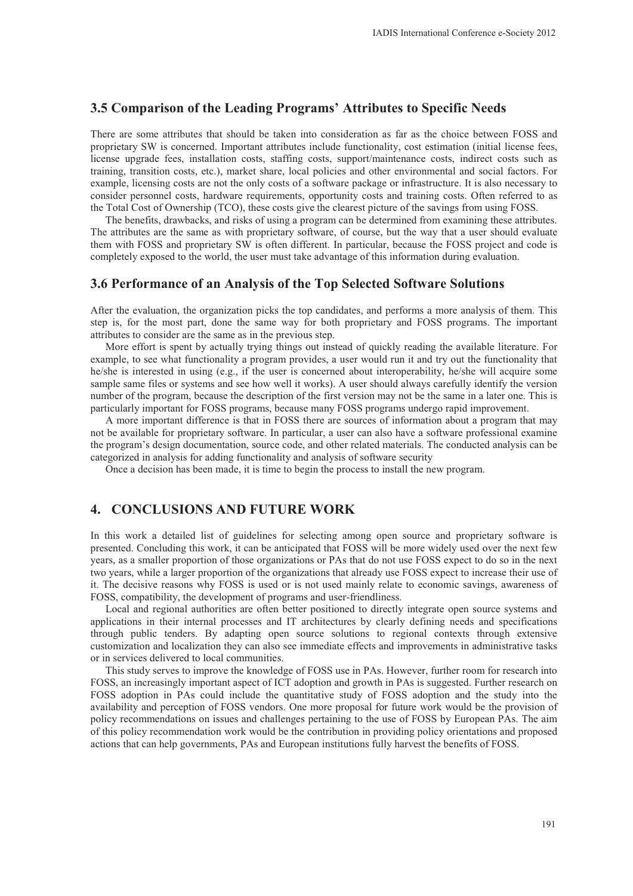## **3.5 Comparison of the Leading Programs' Attributes to Specific Needs**

There are some attributes that should be taken into consideration as far as the choice between FOSS and proprietary SW is concerned. Important attributes include functionality, cost estimation (initial license fees, license upgrade fees, installation costs, staffing costs, support/maintenance costs, indirect costs such as training, transition costs, etc.), market share, local policies and other environmental and social factors. For example, licensing costs are not the only costs of a software package or infrastructure. It is also necessary to consider personnel costs, hardware requirements, opportunity costs and training costs. Often referred to as the Total Cost of Ownership (TCO), these costs give the clearest picture of the savings from using FOSS.

The benefits, drawbacks, and risks of using a program can be determined from examining these attributes. The attributes are the same as with proprietary software, of course, but the way that a user should evaluate them with FOSS and proprietary SW is often different. In particular, because the FOSS project and code is completely exposed to the world, the user must take advantage of this information during evaluation.

#### **3.6 Performance of an Analysis of the Top Selected Software Solutions**

After the evaluation, the organization picks the top candidates, and performs a more analysis of them. This step is, for the most part, done the same way for both proprietary and FOSS programs. The important attributes to consider are the same as in the previous step.

More effort is spent by actually trying things out instead of quickly reading the available literature. For example, to see what functionality a program provides, a user would run it and try out the functionality that he/she is interested in using (e.g., if the user is concerned about interoperability, he/she will acquire some sample same files or systems and see how well it works). A user should always carefully identify the version number of the program, because the description of the first version may not be the same in a later one. This is particularly important for FOSS programs, because many FOSS programs undergo rapid improvement.

A more important difference is that in FOSS there are sources of information about a program that may not be available for proprietary software. In particular, a user can also have a software professional examine the program's design documentation, source code, and other related materials. The conducted analysis can be categorized in analysis for adding functionality and analysis of software security

Once a decision has been made, it is time to begin the process to install the new program.

## **4. CONCLUSIONS AND FUTURE WORK**

In this work a detailed list of guidelines for selecting among open source and proprietary software is presented. Concluding this work, it can be anticipated that FOSS will be more widely used over the next few years, as a smaller proportion of those organizations or PAs that do not use FOSS expect to do so in the next two years, while a larger proportion of the organizations that already use FOSS expect to increase their use of it. The decisive reasons why FOSS is used or is not used mainly relate to economic savings, awareness of FOSS, compatibility, the development of programs and user-friendliness.

Local and regional authorities are often better positioned to directly integrate open source systems and applications in their internal processes and IT architectures by clearly defining needs and specifications through public tenders. By adapting open source solutions to regional contexts through extensive customization and localization they can also see immediate effects and improvements in administrative tasks or in services delivered to local communities.

This study serves to improve the knowledge of FOSS use in PAs. However, further room for research into FOSS, an increasingly important aspect of ICT adoption and growth in PAs is suggested. Further research on FOSS adoption in PAs could include the quantitative study of FOSS adoption and the study into the availability and perception of FOSS vendors. One more proposal for future work would be the provision of policy recommendations on issues and challenges pertaining to the use of FOSS by European PAs. The aim of this policy recommendation work would be the contribution in providing policy orientations and proposed actions that can help governments, PAs and European institutions fully harvest the benefits of FOSS.